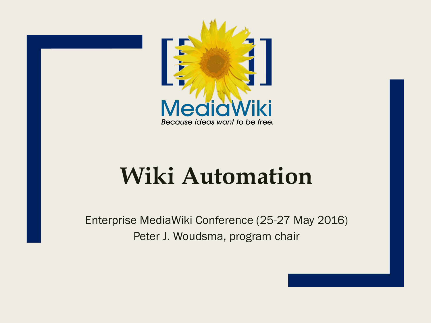

# **Wiki Automation**

Enterprise MediaWiki Conference (25-27 May 2016) Peter J. Woudsma, program chair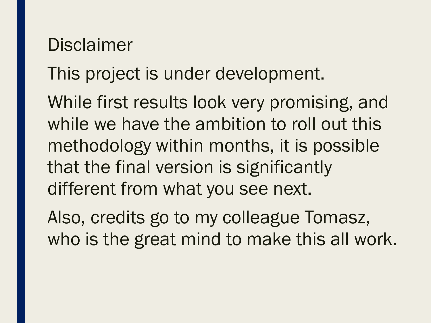#### **Disclaimer**

## This project is under development.

While first results look very promising, and while we have the ambition to roll out this methodology within months, it is possible that the final version is significantly different from what you see next.

Also, credits go to my colleague Tomasz, who is the great mind to make this all work.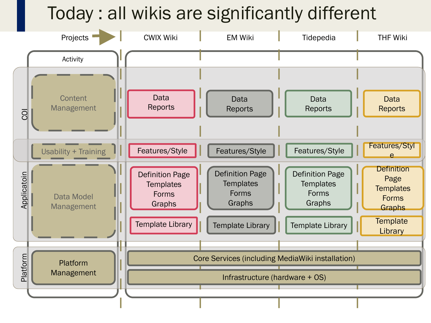## Today : all wikis are significantly different

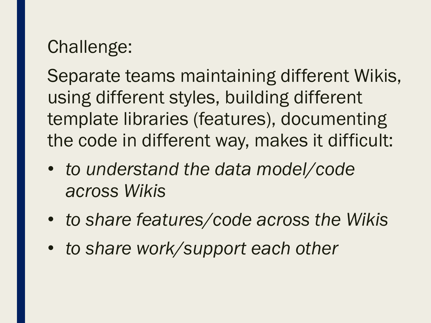## Challenge:

Separate teams maintaining different Wikis, using different styles, building different template libraries (features), documenting the code in different way, makes it difficult:

- *to understand the data model/code across Wikis*
- *to share features/code across the Wikis*
- *to share work/support each other*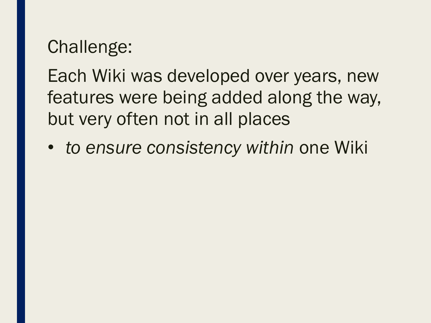## Challenge:

Each Wiki was developed over years, new features were being added along the way, but very often not in all places

• *to ensure consistency within* one Wiki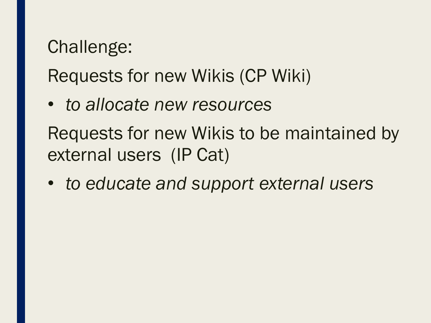## Challenge:

Requests for new Wikis (CP Wiki)

- *to allocate new resources*  Requests for new Wikis to be maintained by external users (IP Cat)
- *to educate and support external users*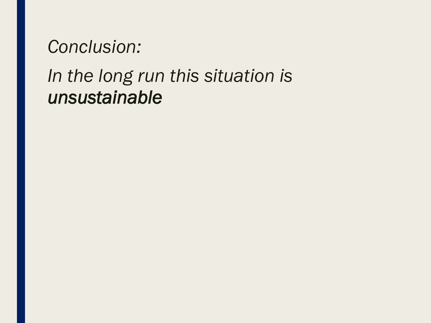#### *Conclusion:*

## *In the long run this situation is unsustainable*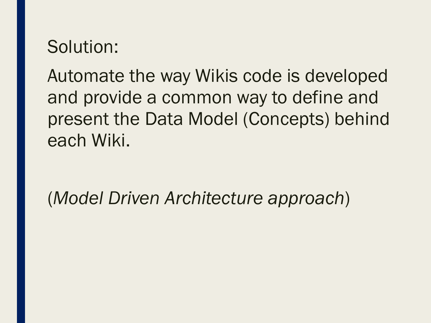#### Solution:

Automate the way Wikis code is developed and provide a common way to define and present the Data Model (Concepts) behind each Wiki.

(*Model Driven Architecture approach*)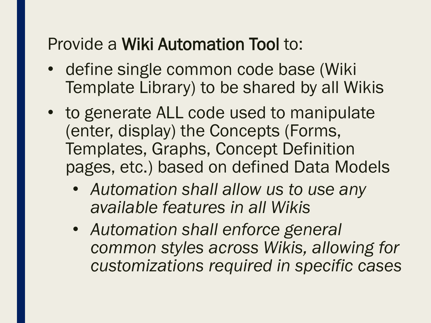#### Provide a Wiki Automation Tool to:

- define single common code base (Wiki Template Library) to be shared by all Wikis
- to generate ALL code used to manipulate (enter, display) the Concepts (Forms, Templates, Graphs, Concept Definition pages, etc.) based on defined Data Models
	- *Automation shall allow us to use any available features in all Wikis*
	- *Automation shall enforce general common styles across Wikis, allowing for customizations required in specific cases*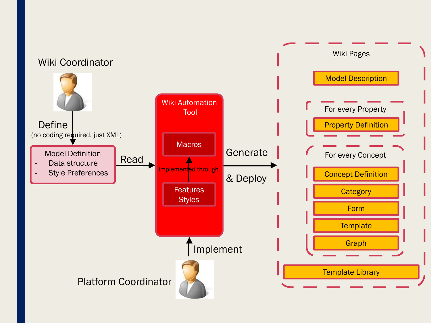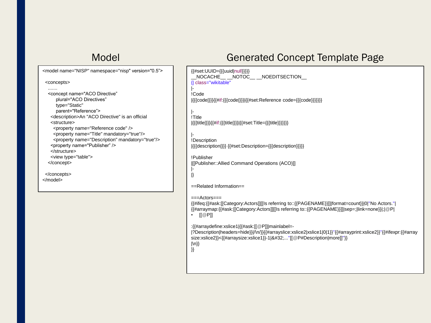<model name="NISP" namespace="nisp" version="0.5"> <concepts> ....... <concept name="ACO Directive" plural="ACO Directives" type="Static" parent="Reference"> <description>An "ACO Directive" is an official <structure> <property name="Reference code" /> <property name="Title" mandatory="true"/> <property name="Description" mandatory="true"/> <property name="Publisher" /> </structure> <view type="table"> </concept>

</concepts> </model>

#### Model Generated Concept Template Page

{{#set:UUID={{{uuid|null}}}}} \_\_NOCACHE\_\_ \_\_NOTOC\_\_ \_\_NOEDITSECTION\_\_ {| class="wikitable" |- !Code |{{{code|}}}{{#if:{{{code|}}}|{{#set:Reference code={{{code}}}}}}} |- !Title |{{{title|}}}{{#if:{{{title|}}}|{{#set:Title={{{title}}}}}}} |- !Description |{{{description|}}} {{#set:Description={{{description}}}}}

!Publisher |[[Publisher::Allied Command Operations (ACO)]] |-

|}

==Related Information==

 $==$ Actors $==$ 

{{#ifeq:{{#ask:[[Category:Actors]][[Is referring to::{{PAGENAME}}]]|format=count}}|0|''No Actors.''| {{#arraymap:{{#ask:[[Category:Actors]][[Is referring to::{{PAGENAME}}]]|sep=;|link=none}}|;|@P| •  $[[@P]]$ 

:{{#arraydefine:xslice1|{{#ask:[[@P]]|mainlabel=-

|?Description|headers=hide}}|/\n/}}{{#arrayslice:xslice2|xslice1|0|1}}''{{#arrayprint:xslice2}}''{{#ifexpr:{{#array size:xslice2}}<{{#arraysize:xslice1}}-1|&#32;..."[[@P#Description|more]]"}} |\n}}

}}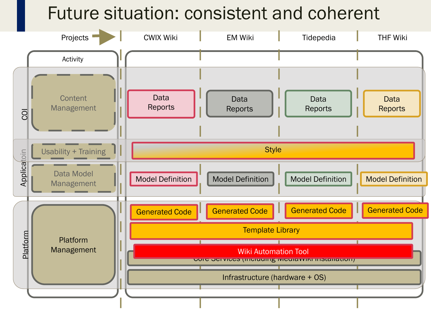#### Future situation: consistent and coherent

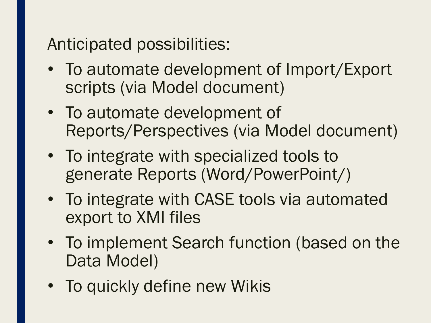Anticipated possibilities:

- To automate development of Import/Export scripts (via Model document)
- To automate development of Reports/Perspectives (via Model document)
- To integrate with specialized tools to generate Reports (Word/PowerPoint/)
- To integrate with CASE tools via automated export to XMI files
- To implement Search function (based on the Data Model)
- To quickly define new Wikis